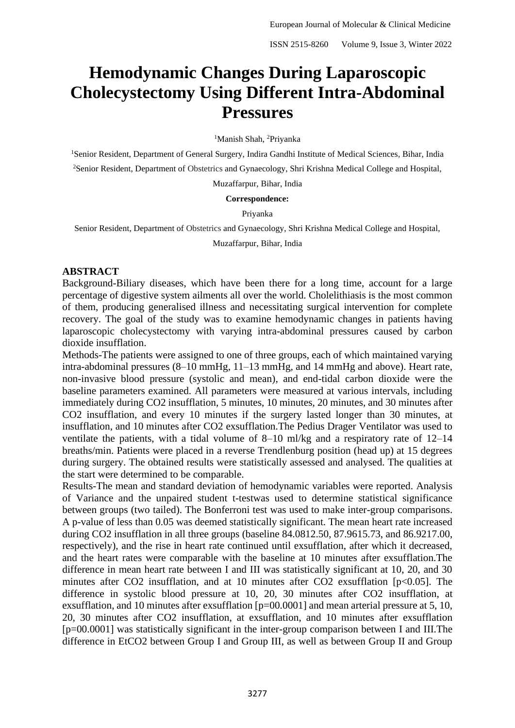# **Hemodynamic Changes During Laparoscopic Cholecystectomy Using Different Intra-Abdominal Pressures**

<sup>1</sup>Manish Shah, <sup>2</sup>Priyanka

<sup>1</sup>Senior Resident, Department of General Surgery, Indira Gandhi Institute of Medical Sciences, Bihar, India <sup>2</sup>Senior Resident, Department of Obstetrics and Gynaecology, Shri Krishna Medical College and Hospital,

Muzaffarpur, Bihar, India

#### **Correspondence:**

#### Priyanka

Senior Resident, Department of Obstetrics and Gynaecology, Shri Krishna Medical College and Hospital,

Muzaffarpur, Bihar, India

#### **ABSTRACT**

Background-Biliary diseases, which have been there for a long time, account for a large percentage of digestive system ailments all over the world. Cholelithiasis is the most common of them, producing generalised illness and necessitating surgical intervention for complete recovery. The goal of the study was to examine hemodynamic changes in patients having laparoscopic cholecystectomy with varying intra-abdominal pressures caused by carbon dioxide insufflation.

Methods-The patients were assigned to one of three groups, each of which maintained varying intra-abdominal pressures (8–10 mmHg, 11–13 mmHg, and 14 mmHg and above). Heart rate, non-invasive blood pressure (systolic and mean), and end-tidal carbon dioxide were the baseline parameters examined. All parameters were measured at various intervals, including immediately during CO2 insufflation, 5 minutes, 10 minutes, 20 minutes, and 30 minutes after CO2 insufflation, and every 10 minutes if the surgery lasted longer than 30 minutes, at insufflation, and 10 minutes after CO2 exsufflation.The Pedius Drager Ventilator was used to ventilate the patients, with a tidal volume of 8–10 ml/kg and a respiratory rate of 12–14 breaths/min. Patients were placed in a reverse Trendlenburg position (head up) at 15 degrees during surgery. The obtained results were statistically assessed and analysed. The qualities at the start were determined to be comparable.

Results-The mean and standard deviation of hemodynamic variables were reported. Analysis of Variance and the unpaired student t-testwas used to determine statistical significance between groups (two tailed). The Bonferroni test was used to make inter-group comparisons. A p-value of less than 0.05 was deemed statistically significant. The mean heart rate increased during CO2 insufflation in all three groups (baseline 84.0812.50, 87.9615.73, and 86.9217.00, respectively), and the rise in heart rate continued until exsufflation, after which it decreased, and the heart rates were comparable with the baseline at 10 minutes after exsufflation.The difference in mean heart rate between I and III was statistically significant at 10, 20, and 30 minutes after CO2 insufflation, and at 10 minutes after CO2 exsufflation [p<0.05]. The difference in systolic blood pressure at 10, 20, 30 minutes after CO2 insufflation, at exsufflation, and 10 minutes after exsufflation [p=00.0001] and mean arterial pressure at 5, 10, 20, 30 minutes after CO2 insufflation, at exsufflation, and 10 minutes after exsufflation [p=00.0001] was statistically significant in the inter-group comparison between I and III.The difference in EtCO2 between Group I and Group III, as well as between Group II and Group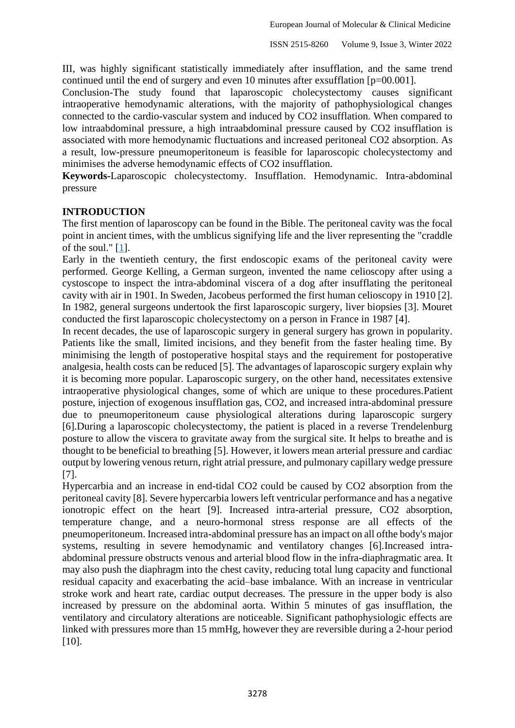III, was highly significant statistically immediately after insufflation, and the same trend continued until the end of surgery and even 10 minutes after exsufflation [p=00.001].

Conclusion-The study found that laparoscopic cholecystectomy causes significant intraoperative hemodynamic alterations, with the majority of pathophysiological changes connected to the cardio-vascular system and induced by CO2 insufflation. When compared to low intraabdominal pressure, a high intraabdominal pressure caused by CO2 insufflation is associated with more hemodynamic fluctuations and increased peritoneal CO2 absorption. As a result, low-pressure pneumoperitoneum is feasible for laparoscopic cholecystectomy and minimises the adverse hemodynamic effects of CO2 insufflation.

**Keywords-**Laparoscopic cholecystectomy. Insufflation. Hemodynamic. Intra-abdominal pressure

# **INTRODUCTION**

The first mention of laparoscopy can be found in the Bible. The peritoneal cavity was the focal point in ancient times, with the umblicus signifying life and the liver representing the "craddle of the soul." [\[1\]](file:///C:/Users/piyus/Downloads/Umar2013_Article_EvaluationOfHemodynamicChanges.docx%23_bookmark3).

Early in the twentieth century, the first endoscopic exams of the peritoneal cavity were performed. George Kelling, a German surgeon, invented the name celioscopy after using a cystoscope to inspect the intra-abdominal viscera of a dog after insufflating the peritoneal cavity with air in 1901. In Sweden, Jacobeus performed the first human celioscopy in 1910 [2]. In 1982, general surgeons undertook the first laparoscopic surgery, liver biopsies [3]. Mouret conducted the first laparoscopic cholecystectomy on a person in France in 1987 [4].

In recent decades, the use of laparoscopic surgery in general surgery has grown in popularity. Patients like the small, limited incisions, and they benefit from the faster healing time. By minimising the length of postoperative hospital stays and the requirement for postoperative analgesia, health costs can be reduced [5]. The advantages of laparoscopic surgery explain why it is becoming more popular. Laparoscopic surgery, on the other hand, necessitates extensive intraoperative physiological changes, some of which are unique to these procedures.Patient posture, injection of exogenous insufflation gas, CO2, and increased intra-abdominal pressure due to pneumoperitoneum cause physiological alterations during laparoscopic surgery [6].During a laparoscopic cholecystectomy, the patient is placed in a reverse Trendelenburg posture to allow the viscera to gravitate away from the surgical site. It helps to breathe and is thought to be beneficial to breathing [5]. However, it lowers mean arterial pressure and cardiac output by lowering venous return, right atrial pressure, and pulmonary capillary wedge pressure [7].

Hypercarbia and an increase in end-tidal CO2 could be caused by CO2 absorption from the peritoneal cavity [8]. Severe hypercarbia lowers left ventricular performance and has a negative ionotropic effect on the heart [9]. Increased intra-arterial pressure, CO2 absorption, temperature change, and a neuro-hormonal stress response are all effects of the pneumoperitoneum. Increased intra-abdominal pressure has an impact on all ofthe body's major systems, resulting in severe hemodynamic and ventilatory changes [6].Increased intraabdominal pressure obstructs venous and arterial blood flow in the infra-diaphragmatic area. It may also push the diaphragm into the chest cavity, reducing total lung capacity and functional residual capacity and exacerbating the acid–base imbalance. With an increase in ventricular stroke work and heart rate, cardiac output decreases. The pressure in the upper body is also increased by pressure on the abdominal aorta. Within 5 minutes of gas insufflation, the ventilatory and circulatory alterations are noticeable. Significant pathophysiologic effects are linked with pressures more than 15 mmHg, however they are reversible during a 2-hour period [10].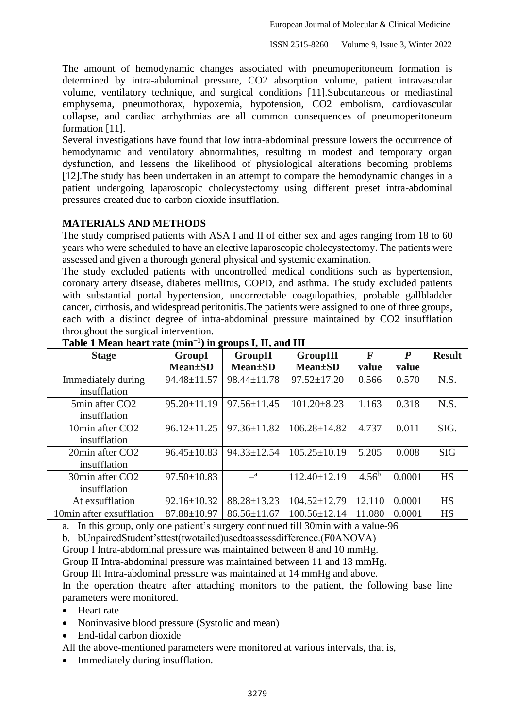The amount of hemodynamic changes associated with pneumoperitoneum formation is determined by intra-abdominal pressure, CO2 absorption volume, patient intravascular volume, ventilatory technique, and surgical conditions [11].Subcutaneous or mediastinal emphysema, pneumothorax, hypoxemia, hypotension, CO2 embolism, cardiovascular collapse, and cardiac arrhythmias are all common consequences of pneumoperitoneum formation [11].

Several investigations have found that low intra-abdominal pressure lowers the occurrence of hemodynamic and ventilatory abnormalities, resulting in modest and temporary organ dysfunction, and lessens the likelihood of physiological alterations becoming problems [12].The study has been undertaken in an attempt to compare the hemodynamic changes in a patient undergoing laparoscopic cholecystectomy using different preset intra-abdominal pressures created due to carbon dioxide insufflation.

## **MATERIALS AND METHODS**

The study comprised patients with ASA I and II of either sex and ages ranging from 18 to 60 years who were scheduled to have an elective laparoscopic cholecystectomy. The patients were assessed and given a thorough general physical and systemic examination.

The study excluded patients with uncontrolled medical conditions such as hypertension, coronary artery disease, diabetes mellitus, COPD, and asthma. The study excluded patients with substantial portal hypertension, uncorrectable coagulopathies, probable gallbladder cancer, cirrhosis, and widespread peritonitis.The patients were assigned to one of three groups, each with a distinct degree of intra-abdominal pressure maintained by CO2 insufflation throughout the surgical intervention.

| <b>Stage</b>                | GroupI            | GroupII           | GroupIII           | F        | $\boldsymbol{P}$ | <b>Result</b> |
|-----------------------------|-------------------|-------------------|--------------------|----------|------------------|---------------|
|                             | <b>Mean</b> ±SD   | <b>Mean</b> ±SD   | <b>Mean</b> ±SD    | value    | value            |               |
| Immediately during          | 94.48±11.57       | $98.44 \pm 11.78$ | $97.52 \pm 17.20$  | 0.566    | 0.570            | N.S.          |
| insufflation                |                   |                   |                    |          |                  |               |
| 5min after CO <sub>2</sub>  | $95.20 \pm 11.19$ | $97.56 \pm 11.45$ | $101.20 \pm 8.23$  | 1.163    | 0.318            | N.S.          |
| insufflation                |                   |                   |                    |          |                  |               |
| 10min after CO <sub>2</sub> | $96.12 \pm 11.25$ | $97.36 \pm 11.82$ | $106.28 \pm 14.82$ | 4.737    | 0.011            | SIG.          |
| insufflation                |                   |                   |                    |          |                  |               |
| 20min after CO <sub>2</sub> | $96.45 \pm 10.83$ | $94.33 \pm 12.54$ | $105.25 \pm 10.19$ | 5.205    | 0.008            | <b>SIG</b>    |
| insufflation                |                   |                   |                    |          |                  |               |
| 30min after CO <sub>2</sub> | $97.50 \pm 10.83$ | $\mathbf{a}$      | $112.40 \pm 12.19$ | $4.56^b$ | 0.0001           | <b>HS</b>     |
| insufflation                |                   |                   |                    |          |                  |               |
| At exsufflation             | $92.16 \pm 10.32$ | $88.28 \pm 13.23$ | $104.52 \pm 12.79$ | 12.110   | 0.0001           | <b>HS</b>     |
| 10min after exsufflation    | 87.88±10.97       | $86.56 \pm 11.67$ | $100.56 \pm 12.14$ | 11.080   | 0.0001           | <b>HS</b>     |

#### **Table 1 Mean heart rate (min−1 ) in groups I, II, and III**

a. In this group, only one patient's surgery continued till 30min with a value-96

b. bUnpairedStudent'sttest(twotailed)usedtoassessdifference.(F0ANOVA)

Group I Intra-abdominal pressure was maintained between 8 and 10 mmHg.

Group II Intra-abdominal pressure was maintained between 11 and 13 mmHg.

Group III Intra-abdominal pressure was maintained at 14 mmHg and above.

In the operation theatre after attaching monitors to the patient, the following base line parameters were monitored.

- Heart rate
- Noninvasive blood pressure (Systolic and mean)
- End-tidal carbon dioxide

All the above-mentioned parameters were monitored at various intervals, that is,

• Immediately during insufflation.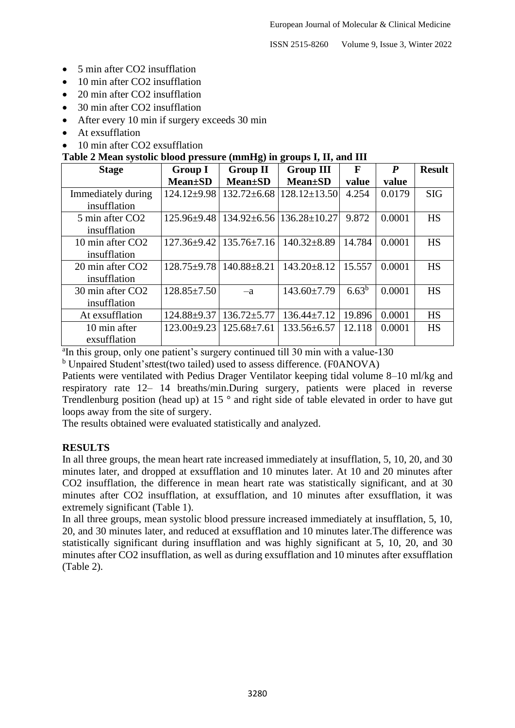ISSN 2515-8260 Volume 9, Issue 3, Winter 2022

- 5 min after CO2 insufflation
- 10 min after CO2 insufflation
- 20 min after CO2 insufflation
- 30 min after CO2 insufflation
- After every 10 min if surgery exceeds 30 min
- At exsufflation
- 10 min after CO2 exsufflation

# **Table 2 Mean systolic blood pressure (mmHg) in groups I, II, and III**

| <b>Stage</b>                                 | <b>Group I</b>    | <b>Group II</b>   | <b>Group III</b>                       | $\mathbf F$ | $\boldsymbol{P}$ | <b>Result</b> |
|----------------------------------------------|-------------------|-------------------|----------------------------------------|-------------|------------------|---------------|
|                                              | <b>Mean</b> ±SD   | <b>Mean</b> ±SD   | <b>Mean</b> ±SD                        | value       | value            |               |
| Immediately during<br>insufflation           | 124.12±9.98       | $132.72 \pm 6.68$ | $128.12 \pm 13.50$                     | 4.254       | 0.0179           | <b>SIG</b>    |
| 5 min after CO <sub>2</sub><br>insufflation  | $125.96 \pm 9.48$ |                   | $134.92 \pm 6.56$   $136.28 \pm 10.27$ | 9.872       | 0.0001           | <b>HS</b>     |
| 10 min after CO <sub>2</sub><br>insufflation | $127.36 \pm 9.42$ | $135.76 \pm 7.16$ | $140.32 \pm 8.89$                      | 14.784      | 0.0001           | <b>HS</b>     |
| 20 min after CO <sub>2</sub><br>insufflation | $128.75 \pm 9.78$ | $140.88 \pm 8.21$ | $143.20 \pm 8.12$                      | 15.557      | 0.0001           | <b>HS</b>     |
| 30 min after CO <sub>2</sub><br>insufflation | $128.85 \pm 7.50$ | $-a$              | $143.60 \pm 7.79$                      | $6.63^b$    | 0.0001           | <b>HS</b>     |
| At exsufflation                              | $124.88 \pm 9.37$ | $136.72 \pm 5.77$ | $136.44 \pm 7.12$                      | 19.896      | 0.0001           | <b>HS</b>     |
| 10 min after<br>exsufflation                 | $123.00 \pm 9.23$ | $125.68 \pm 7.61$ | 133.56±6.57                            | 12.118      | 0.0001           | <b>HS</b>     |

<sup>a</sup>In this group, only one patient's surgery continued till 30 min with a value-130

<sup>b</sup> Unpaired Student's*t*test(two tailed) used to assess difference. (F0ANOVA)

Patients were ventilated with Pedius Drager Ventilator keeping tidal volume 8–10 ml/kg and respiratory rate 12– 14 breaths/min.During surgery, patients were placed in reverse Trendlenburg position (head up) at 15<sup>°</sup> and right side of table elevated in order to have gut loops away from the site of surgery.

The results obtained were evaluated statistically and analyzed.

# **RESULTS**

In all three groups, the mean heart rate increased immediately at insufflation, 5, 10, 20, and 30 minutes later, and dropped at exsufflation and 10 minutes later. At 10 and 20 minutes after CO2 insufflation, the difference in mean heart rate was statistically significant, and at 30 minutes after CO2 insufflation, at exsufflation, and 10 minutes after exsufflation, it was extremely significant (Table 1).

In all three groups, mean systolic blood pressure increased immediately at insufflation, 5, 10, 20, and 30 minutes later, and reduced at exsufflation and 10 minutes later.The difference was statistically significant during insufflation and was highly significant at 5, 10, 20, and 30 minutes after CO2 insufflation, as well as during exsufflation and 10 minutes after exsufflation (Table 2).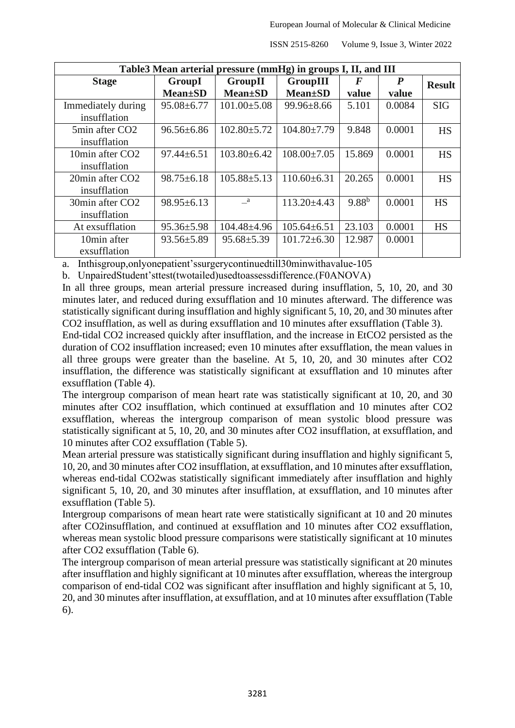ISSN 2515-8260 Volume 9, Issue 3, Winter 2022

| Table3 Mean arterial pressure (mmHg) in groups I, II, and III |                   |                   |                   |            |                  |               |  |  |
|---------------------------------------------------------------|-------------------|-------------------|-------------------|------------|------------------|---------------|--|--|
| <b>Stage</b>                                                  | GroupI<br>GroupII |                   | GroupIII          | F          | $\boldsymbol{P}$ | <b>Result</b> |  |  |
|                                                               | <b>Mean</b> ±SD   | <b>Mean</b> ±SD   | <b>Mean</b> ±SD   | value      | value            |               |  |  |
| Immediately during                                            | $95.08 \pm 6.77$  | $101.00 \pm 5.08$ | $99.96 \pm 8.66$  | 5.101      | 0.0084           | <b>SIG</b>    |  |  |
| insufflation                                                  |                   |                   |                   |            |                  |               |  |  |
| 5min after CO <sub>2</sub>                                    | $96.56 \pm 6.86$  | $102.80 \pm 5.72$ | $104.80 \pm 7.79$ | 9.848      | 0.0001           | <b>HS</b>     |  |  |
| insufflation                                                  |                   |                   |                   |            |                  |               |  |  |
| 10min after CO <sub>2</sub>                                   | $97.44 \pm 6.51$  | $103.80 \pm 6.42$ | $108.00 \pm 7.05$ | 15.869     | 0.0001           | <b>HS</b>     |  |  |
| insufflation                                                  |                   |                   |                   |            |                  |               |  |  |
| 20min after CO <sub>2</sub>                                   | $98.75 \pm 6.18$  | $105.88 \pm 5.13$ | $110.60 \pm 6.31$ | 20.265     | 0.0001           | <b>HS</b>     |  |  |
| insufflation                                                  |                   |                   |                   |            |                  |               |  |  |
| 30min after CO <sub>2</sub>                                   | $98.95 \pm 6.13$  | <sub>a</sub>      | $113.20 \pm 4.43$ | $9.88^{b}$ | 0.0001           | <b>HS</b>     |  |  |
| insufflation                                                  |                   |                   |                   |            |                  |               |  |  |
| At exsufflation                                               | $95.36 \pm 5.98$  | $104.48 \pm 4.96$ | $105.64 \pm 6.51$ | 23.103     | 0.0001           | <b>HS</b>     |  |  |
| 10min after                                                   | $93.56 \pm 5.89$  | $95.68 \pm 5.39$  | $101.72 \pm 6.30$ | 12.987     | 0.0001           |               |  |  |
| exsufflation                                                  |                   |                   |                   |            |                  |               |  |  |

a. Inthisgroup,onlyonepatient'ssurgerycontinuedtill30minwithavalue-105

b. UnpairedStudent'sttest(twotailed)usedtoassessdifference.(F0ANOVA)

In all three groups, mean arterial pressure increased during insufflation, 5, 10, 20, and 30 minutes later, and reduced during exsufflation and 10 minutes afterward. The difference was statistically significant during insufflation and highly significant 5, 10, 20, and 30 minutes after CO2 insufflation, as well as during exsufflation and 10 minutes after exsufflation (Table 3).

End-tidal CO2 increased quickly after insufflation, and the increase in EtCO2 persisted as the duration of CO2 insufflation increased; even 10 minutes after exsufflation, the mean values in all three groups were greater than the baseline. At 5, 10, 20, and 30 minutes after CO2 insufflation, the difference was statistically significant at exsufflation and 10 minutes after exsufflation (Table 4).

The intergroup comparison of mean heart rate was statistically significant at 10, 20, and 30 minutes after CO2 insufflation, which continued at exsufflation and 10 minutes after CO2 exsufflation, whereas the intergroup comparison of mean systolic blood pressure was statistically significant at 5, 10, 20, and 30 minutes after CO2 insufflation, at exsufflation, and 10 minutes after CO2 exsufflation (Table 5).

Mean arterial pressure was statistically significant during insufflation and highly significant 5, 10, 20, and 30 minutes after CO2 insufflation, at exsufflation, and 10 minutes after exsufflation, whereas end-tidal CO2was statistically significant immediately after insufflation and highly significant 5, 10, 20, and 30 minutes after insufflation, at exsufflation, and 10 minutes after exsufflation (Table 5).

Intergroup comparisons of mean heart rate were statistically significant at 10 and 20 minutes after CO2insufflation, and continued at exsufflation and 10 minutes after CO2 exsufflation, whereas mean systolic blood pressure comparisons were statistically significant at 10 minutes after CO2 exsufflation (Table 6).

The intergroup comparison of mean arterial pressure was statistically significant at 20 minutes after insufflation and highly significant at 10 minutes after exsufflation, whereas the intergroup comparison of end-tidal CO2 was significant after insufflation and highly significant at 5, 10, 20, and 30 minutes after insufflation, at exsufflation, and at 10 minutes after exsufflation (Table 6).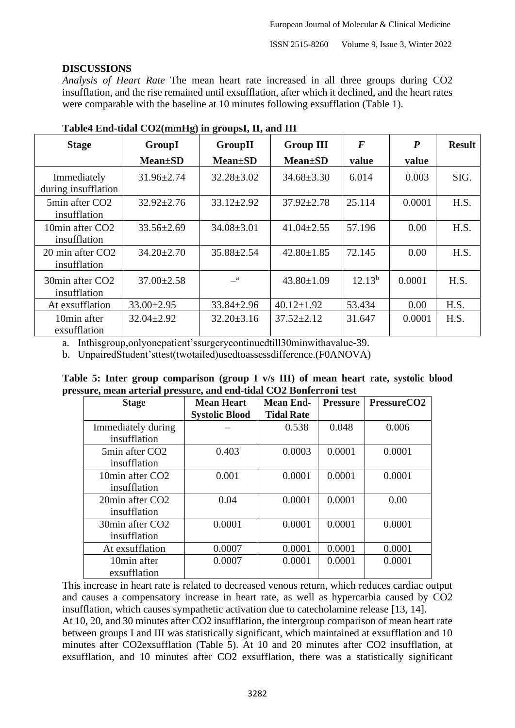ISSN 2515-8260 Volume 9, Issue 3, Winter 2022

## **DISCUSSIONS**

*Analysis of Heart Rate* The mean heart rate increased in all three groups during CO2 insufflation, and the rise remained until exsufflation, after which it declined, and the heart rates were comparable with the baseline at 10 minutes following exsufflation (Table 1).

| <b>Stage</b>                                 | ້<br>GroupI      | <b>GroupII</b>   | <b>Group III</b> | $\boldsymbol{F}$ | $\boldsymbol{P}$ | <b>Result</b> |
|----------------------------------------------|------------------|------------------|------------------|------------------|------------------|---------------|
|                                              | <b>Mean</b> ±SD  | <b>Mean</b> ±SD  | <b>Mean</b> ±SD  | value            | value            |               |
| Immediately<br>during insufflation           | $31.96 \pm 2.74$ | $32.28 \pm 3.02$ | $34.68 \pm 3.30$ | 6.014            | 0.003            | SIG.          |
| 5min after CO2<br>insufflation               | $32.92 \pm 2.76$ | $33.12 \pm 2.92$ | $37.92 \pm 2.78$ | 25.114           | 0.0001           | H.S.          |
| 10min after CO2<br>insufflation              | $33.56 \pm 2.69$ | $34.08 \pm 3.01$ | $41.04 \pm 2.55$ | 57.196           | 0.00             | H.S.          |
| 20 min after CO <sub>2</sub><br>insufflation | $34.20 \pm 2.70$ | $35.88 \pm 2.54$ | $42.80 \pm 1.85$ | 72.145           | 0.00             | H.S.          |
| 30min after CO <sub>2</sub><br>insufflation  | $37.00 \pm 2.58$ | $\mathbf{a}$     | $43.80 \pm 1.09$ | $12.13^{b}$      | 0.0001           | H.S.          |
| At exsufflation                              | $33.00 \pm 2.95$ | $33.84 \pm 2.96$ | $40.12 \pm 1.92$ | 53.434           | 0.00             | H.S.          |
| 10min after<br>exsufflation                  | $32.04 \pm 2.92$ | $32.20 \pm 3.16$ | $37.52 \pm 2.12$ | 31.647           | 0.0001           | H.S.          |

## **Table4 End-tidal CO2(mmHg) in groupsI, II, and III**

a. Inthisgroup,onlyonepatient'ssurgerycontinuedtill30minwithavalue-39.

b. UnpairedStudent'sttest(twotailed)usedtoassessdifference.(F0ANOVA)

|  | Table 5: Inter group comparison (group I v/s III) of mean heart rate, systolic blood |  |  |  |  |
|--|--------------------------------------------------------------------------------------|--|--|--|--|
|  | pressure, mean arterial pressure, and end-tidal CO2 Bonferroni test                  |  |  |  |  |

| <b>Stage</b>                | <b>Mean Heart</b>     | <b>Mean End-</b>  | <b>Pressure</b> | PressureCO <sub>2</sub> |  |
|-----------------------------|-----------------------|-------------------|-----------------|-------------------------|--|
|                             | <b>Systolic Blood</b> | <b>Tidal Rate</b> |                 |                         |  |
| Immediately during          |                       | 0.538             | 0.048           | 0.006                   |  |
| insufflation                |                       |                   |                 |                         |  |
| 5min after CO <sub>2</sub>  | 0.403                 | 0.0003            | 0.0001          | 0.0001                  |  |
| insufflation                |                       |                   |                 |                         |  |
| 10min after CO <sub>2</sub> | 0.001                 | 0.0001            | 0.0001          | 0.0001                  |  |
| insufflation                |                       |                   |                 |                         |  |
| 20min after CO <sub>2</sub> | 0.04                  | 0.0001            | 0.0001          | 0.00                    |  |
| insufflation                |                       |                   |                 |                         |  |
| 30min after CO <sub>2</sub> | 0.0001                | 0.0001            | 0.0001          | 0.0001                  |  |
| insufflation                |                       |                   |                 |                         |  |
| At exsufflation             | 0.0007                | 0.0001            | 0.0001          | 0.0001                  |  |
| 10min after                 | 0.0007                | 0.0001            | 0.0001          | 0.0001                  |  |
| exsufflation                |                       |                   |                 |                         |  |

This increase in heart rate is related to decreased venous return, which reduces cardiac output and causes a compensatory increase in heart rate, as well as hypercarbia caused by CO2 insufflation, which causes sympathetic activation due to catecholamine release [13, 14]. At 10, 20, and 30 minutes after CO2 insufflation, the intergroup comparison of mean heart rate between groups I and III was statistically significant, which maintained at exsufflation and 10 minutes after CO2exsufflation (Table 5). At 10 and 20 minutes after CO2 insufflation, at exsufflation, and 10 minutes after CO2 exsufflation, there was a statistically significant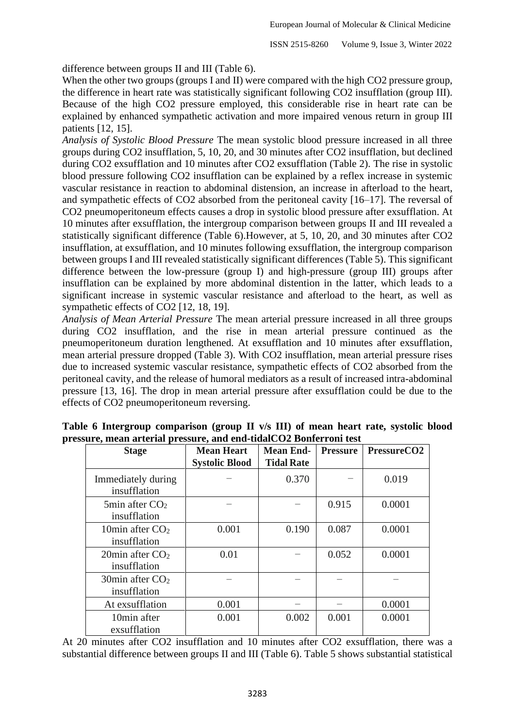difference between groups II and III (Table 6).

When the other two groups (groups I and II) were compared with the high CO2 pressure group, the difference in heart rate was statistically significant following CO2 insufflation (group III). Because of the high CO2 pressure employed, this considerable rise in heart rate can be explained by enhanced sympathetic activation and more impaired venous return in group III patients [12, 15].

*Analysis of Systolic Blood Pressure* The mean systolic blood pressure increased in all three groups during CO2 insufflation, 5, 10, 20, and 30 minutes after CO2 insufflation, but declined during CO2 exsufflation and 10 minutes after CO2 exsufflation (Table 2). The rise in systolic blood pressure following CO2 insufflation can be explained by a reflex increase in systemic vascular resistance in reaction to abdominal distension, an increase in afterload to the heart, and sympathetic effects of CO2 absorbed from the peritoneal cavity [16–17]. The reversal of CO2 pneumoperitoneum effects causes a drop in systolic blood pressure after exsufflation. At 10 minutes after exsufflation, the intergroup comparison between groups II and III revealed a statistically significant difference (Table 6).However, at 5, 10, 20, and 30 minutes after CO2 insufflation, at exsufflation, and 10 minutes following exsufflation, the intergroup comparison between groups I and III revealed statistically significant differences (Table 5). This significant difference between the low-pressure (group I) and high-pressure (group III) groups after insufflation can be explained by more abdominal distention in the latter, which leads to a significant increase in systemic vascular resistance and afterload to the heart, as well as sympathetic effects of CO2 [12, 18, 19].

*Analysis of Mean Arterial Pressure* The mean arterial pressure increased in all three groups during CO2 insufflation, and the rise in mean arterial pressure continued as the pneumoperitoneum duration lengthened. At exsufflation and 10 minutes after exsufflation, mean arterial pressure dropped (Table 3). With CO2 insufflation, mean arterial pressure rises due to increased systemic vascular resistance, sympathetic effects of CO2 absorbed from the peritoneal cavity, and the release of humoral mediators as a result of increased intra-abdominal pressure [13, 16]. The drop in mean arterial pressure after exsufflation could be due to the effects of CO2 pneumoperitoneum reversing.

| <b>Stage</b>                                    | <b>Mean Heart</b>     | <b>Mean End-</b>  | <b>Pressure</b> | PressureCO <sub>2</sub> |
|-------------------------------------------------|-----------------------|-------------------|-----------------|-------------------------|
|                                                 | <b>Systolic Blood</b> | <b>Tidal Rate</b> |                 |                         |
| Immediately during<br>insufflation              |                       | 0.370             |                 | 0.019                   |
| $5\text{min}$ after $CO2$<br>insufflation       |                       |                   | 0.915           | 0.0001                  |
| 10 $\min$ after CO <sub>2</sub><br>insufflation | 0.001                 | 0.190             | 0.087           | 0.0001                  |
| 20 min after $CO2$<br>insufflation              | 0.01                  |                   | 0.052           | 0.0001                  |
| 30 min after $CO2$<br>insufflation              |                       |                   |                 |                         |
| At exsufflation                                 | 0.001                 |                   |                 | 0.0001                  |
| 10min after<br>exsufflation                     | 0.001                 | 0.002             | 0.001           | 0.0001                  |

**Table 6 Intergroup comparison (group II v/s III) of mean heart rate, systolic blood pressure, mean arterial pressure, and end-tidalCO2 Bonferroni test**

At 20 minutes after CO2 insufflation and 10 minutes after CO2 exsufflation, there was a substantial difference between groups II and III (Table 6). Table 5 shows substantial statistical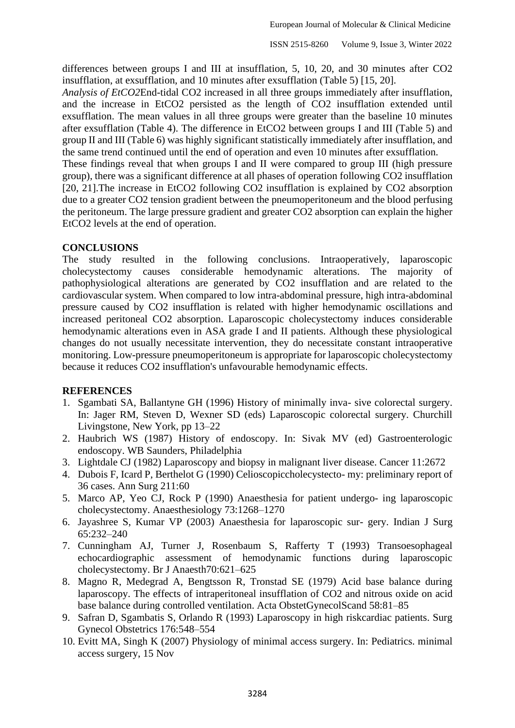differences between groups I and III at insufflation, 5, 10, 20, and 30 minutes after CO2 insufflation, at exsufflation, and 10 minutes after exsufflation (Table 5) [15, 20].

*Analysis of EtCO2*End-tidal CO2 increased in all three groups immediately after insufflation, and the increase in EtCO2 persisted as the length of CO2 insufflation extended until exsufflation. The mean values in all three groups were greater than the baseline 10 minutes after exsufflation (Table 4). The difference in EtCO2 between groups I and III (Table 5) and group II and III (Table 6) was highly significant statistically immediately after insufflation, and the same trend continued until the end of operation and even 10 minutes after exsufflation.

These findings reveal that when groups I and II were compared to group III (high pressure group), there was a significant difference at all phases of operation following CO2 insufflation [20, 21].The increase in EtCO2 following CO2 insufflation is explained by CO2 absorption due to a greater CO2 tension gradient between the pneumoperitoneum and the blood perfusing the peritoneum. The large pressure gradient and greater CO2 absorption can explain the higher EtCO2 levels at the end of operation.

## **CONCLUSIONS**

The study resulted in the following conclusions. Intraoperatively, laparoscopic cholecystectomy causes considerable hemodynamic alterations. The majority of pathophysiological alterations are generated by CO2 insufflation and are related to the cardiovascular system. When compared to low intra-abdominal pressure, high intra-abdominal pressure caused by CO2 insufflation is related with higher hemodynamic oscillations and increased peritoneal CO2 absorption. Laparoscopic cholecystectomy induces considerable hemodynamic alterations even in ASA grade I and II patients. Although these physiological changes do not usually necessitate intervention, they do necessitate constant intraoperative monitoring. Low-pressure pneumoperitoneum is appropriate for laparoscopic cholecystectomy because it reduces CO2 insufflation's unfavourable hemodynamic effects.

# **REFERENCES**

- 1. Sgambati SA, Ballantyne GH (1996) History of minimally inva- sive colorectal surgery. In: Jager RM, Steven D, Wexner SD (eds) Laparoscopic colorectal surgery. Churchill Livingstone, New York, pp 13–22
- 2. Haubrich WS (1987) History of endoscopy. In: Sivak MV (ed) Gastroenterologic endoscopy. WB Saunders, Philadelphia
- 3. Lightdale CJ (1982) Laparoscopy and biopsy in malignant liver disease. Cancer 11:2672
- 4. Dubois F, Icard P, Berthelot G (1990) Celioscopiccholecystecto- my: preliminary report of 36 cases. Ann Surg 211:60
- 5. Marco AP, Yeo CJ, Rock P (1990) Anaesthesia for patient undergo- ing laparoscopic cholecystectomy. Anaesthesiology 73:1268–1270
- 6. Jayashree S, Kumar VP (2003) Anaesthesia for laparoscopic sur- gery. Indian J Surg 65:232–240
- 7. Cunningham AJ, Turner J, Rosenbaum S, Rafferty T (1993) Transoesophageal echocardiographic assessment of hemodynamic functions during laparoscopic cholecystectomy. Br J Anaesth70:621–625
- 8. Magno R, Medegrad A, Bengtsson R, Tronstad SE (1979) Acid base balance during laparoscopy. The effects of intraperitoneal insufflation of CO2 and nitrous oxide on acid base balance during controlled ventilation. Acta ObstetGynecolScand 58:81–85
- 9. Safran D, Sgambatis S, Orlando R (1993) Laparoscopy in high riskcardiac patients. Surg Gynecol Obstetrics 176:548–554
- 10. Evitt MA, Singh K (2007) Physiology of minimal access surgery. In: Pediatrics. minimal access surgery, 15 Nov